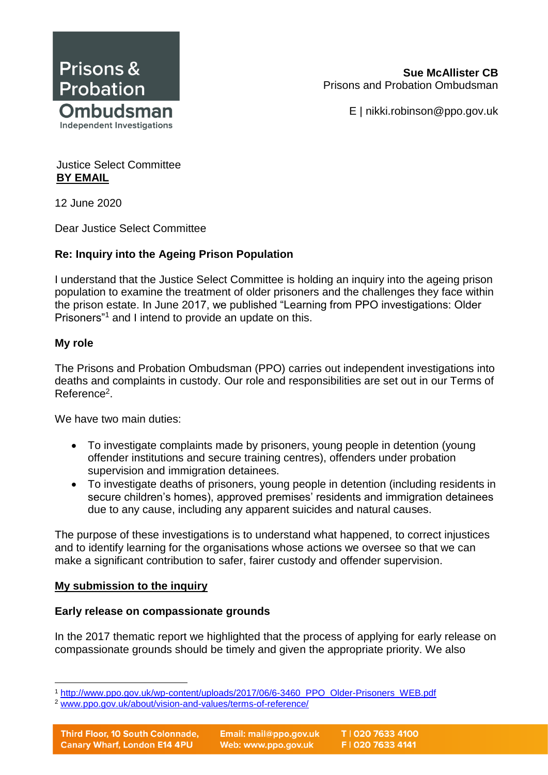

**Sue McAllister CB** Prisons and Probation Ombudsman

E | nikki.robinson@ppo.gov.uk

Justice Select Committee **BY EMAIL**

12 June 2020

Dear Justice Select Committee

# **Re: Inquiry into the Ageing Prison Population**

I understand that the Justice Select Committee is holding an inquiry into the ageing prison population to examine the treatment of older prisoners and the challenges they face within the prison estate. In June 2017, we published "Learning from PPO investigations: Older Prisoners"<sup>1</sup> and I intend to provide an update on this.

## **My role**

The Prisons and Probation Ombudsman (PPO) carries out independent investigations into deaths and complaints in custody. Our role and responsibilities are set out in our Terms of Reference<sup>2</sup>.

We have two main duties:

- To investigate complaints made by prisoners, young people in detention (young offender institutions and secure training centres), offenders under probation supervision and immigration detainees.
- To investigate deaths of prisoners, young people in detention (including residents in secure children's homes), approved premises' residents and immigration detainees due to any cause, including any apparent suicides and natural causes.

The purpose of these investigations is to understand what happened, to correct injustices and to identify learning for the organisations whose actions we oversee so that we can make a significant contribution to safer, fairer custody and offender supervision.

## **My submission to the inquiry**

## **Early release on compassionate grounds**

In the 2017 thematic report we highlighted that the process of applying for early release on compassionate grounds should be timely and given the appropriate priority. We also

 <sup>1</sup> [http://www.ppo.gov.uk/wp-content/uploads/2017/06/6-3460\\_PPO\\_Older-Prisoners\\_WEB.pdf](http://www.ppo.gov.uk/wp-content/uploads/2017/06/6-3460_PPO_Older-Prisoners_WEB.pdf)

<sup>2</sup> [www.ppo.gov.uk/about/vision-and-values/terms-of-reference/](http://www.ppo.gov.uk/about/vision-and-values/terms-of-reference/)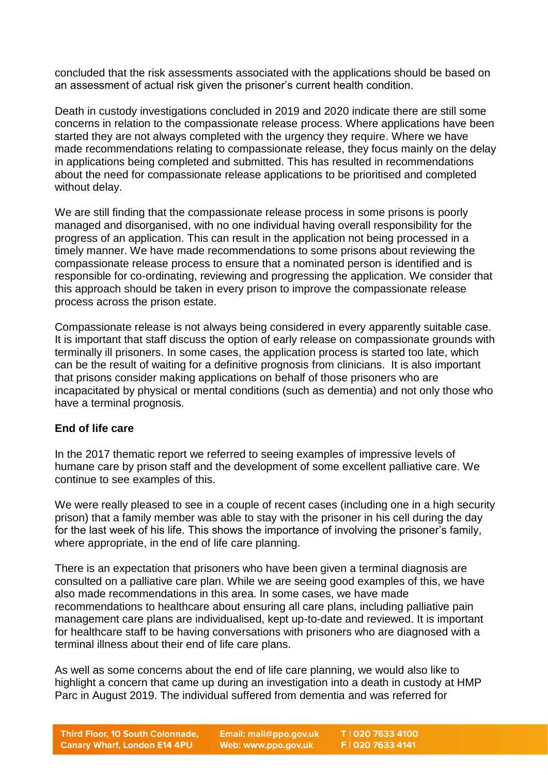concluded that the risk assessments associated with the applications should be based on an assessment of actual risk given the prisoner's current health condition.

Death in custody investigations concluded in 2019 and 2020 indicate there are still some concerns in relation to the compassionate release process. Where applications have been started they are not always completed with the urgency they require. Where we have made recommendations relating to compassionate release, they focus mainly on the delay in applications being completed and submitted. This has resulted in recommendations about the need for compassionate release applications to be prioritised and completed without delay.

We are still finding that the compassionate release process in some prisons is poorly managed and disorganised, with no one individual having overall responsibility for the progress of an application. This can result in the application not being processed in a timely manner. We have made recommendations to some prisons about reviewing the compassionate release process to ensure that a nominated person is identified and is responsible for co-ordinating, reviewing and progressing the application. We consider that this approach should be taken in every prison to improve the compassionate release process across the prison estate.

Compassionate release is not always being considered in every apparently suitable case. It is important that staff discuss the option of early release on compassionate grounds with terminally ill prisoners. In some cases, the application process is started too late, which can be the result of waiting for a definitive prognosis from clinicians. It is also important that prisons consider making applications on behalf of those prisoners who are incapacitated by physical or mental conditions (such as dementia) and not only those who have a terminal prognosis.

## **End of life care**

In the 2017 thematic report we referred to seeing examples of impressive levels of humane care by prison staff and the development of some excellent palliative care. We continue to see examples of this.

We were really pleased to see in a couple of recent cases (including one in a high security prison) that a family member was able to stay with the prisoner in his cell during the day for the last week of his life. This shows the importance of involving the prisoner's family, where appropriate, in the end of life care planning.

There is an expectation that prisoners who have been given a terminal diagnosis are consulted on a palliative care plan. While we are seeing good examples of this, we have also made recommendations in this area. In some cases, we have made recommendations to healthcare about ensuring all care plans, including palliative pain management care plans are individualised, kept up-to-date and reviewed. It is important for healthcare staff to be having conversations with prisoners who are diagnosed with a terminal illness about their end of life care plans.

As well as some concerns about the end of life care planning, we would also like to highlight a concern that came up during an investigation into a death in custody at HMP Parc in August 2019. The individual suffered from dementia and was referred for

Email: mail@ppo.gov.uk Web: www.ppo.gov.uk